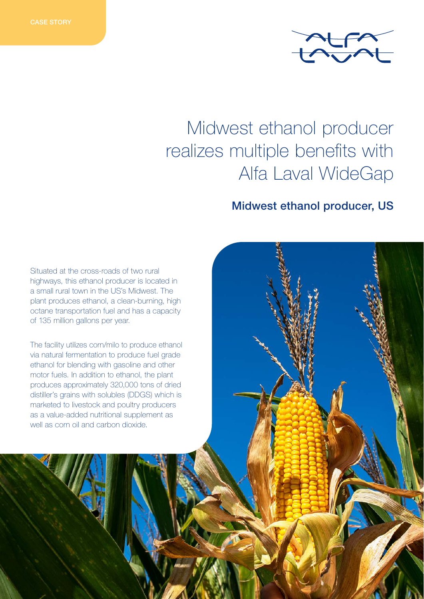

# Midwest ethanol producer realizes multiple benefits with Alfa Laval WideGap

## Midwest ethanol producer, US

Situated at the cross-roads of two rural highways, this ethanol producer is located in a small rural town in the US's Midwest. The plant produces ethanol, a clean-burning, high octane transportation fuel and has a capacity of 135 million gallons per year.

The facility utilizes corn/milo to produce ethanol via natural fermentation to produce fuel grade ethanol for blending with gasoline and other motor fuels. In addition to ethanol, the plant produces approximately 320,000 tons of dried distiller's grains with solubles (DDGS) which is marketed to livestock and poultry producers as a value-added nutritional supplement as well as corn oil and carbon dioxide.